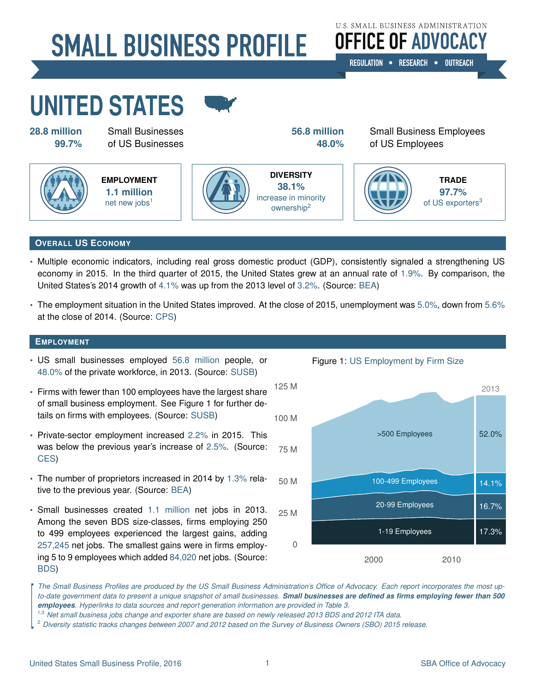# **SMALL BUSINESS PROFILE**

**U.S. SMALL BUSINESS ADMINISTRATION OFFICE OF ADVOCACY** 

REGULATION . RESEARCH . OUTREACH

# **UNITED STATES**

**[28.8 million](#page-3-0)** Small Businesses **[56.8 million](#page-3-0)** Small Business Employees **99.7%** of US Businesses **48.0%** of US Employees



**EMPLOYMENT [1.1 million](#page-3-0)** net new jobs $<sup>1</sup>$ </sup>



**DIVERSITY [38.1%](#page-3-1)** increase in minority ownership<sup>2</sup>



# **OVERALL US ECONOMY**

- Multiple economic indicators, including real gross domestic product (GDP), consistently signaled a strengthening US economy in 2015. In the third quarter of 2015, the United States grew at an annual rate of [1.9%.](#page-3-0) By comparison, the United States's 2014 growth of [4.1%](#page-3-3) was up from the 2013 level of [3.2%.](#page-3-3) (Source: [BEA\)](#page-3-3)
- The employment situation in the United States improved. At the close of 2015, unemployment was [5.0%,](#page-3-4) down from [5.6%](#page-3-4) at the close of 2014. (Source: [CPS\)](#page-3-5)

# **EMPLOYMENT**

- US small businesses employed [56.8 million](#page-3-0) people, or [48.0%](#page-3-0) of the private workforce, in 2013. (Source: [SUSB\)](#page-3-6)
- Firms with fewer than 100 employees have the largest share of small business employment. See Figure 1 for further details on firms with employees. (Source: [SUSB\)](#page-3-6)
- Private-sector employment increased [2.2%](#page-3-0) in 2015. This was below the previous year's increase of [2.5%.](#page-3-0) (Source: [CES\)](#page-3-7)
- The number of proprietors increased in 2014 by [1.3%](#page-3-3) relative to the previous year. (Source: [BEA\)](#page-3-3)
- Small businesses created [1.1 million](#page-3-0) net jobs in 2013. Among the seven BDS size-classes, firms employing 250 to 499 employees experienced the largest gains, adding [257,245](#page-3-0) net jobs. The smallest gains were in firms employing 5 to 9 employees which added [84,020](#page-3-0) net jobs. (Source: [BDS\)](#page-3-8)



Figure 1: US Employment by Firm Size

*The Small Business Profiles are produced by the US Small Business Administration's Office of Advocacy. Each report incorporates the most upto-date government data to present a unique snapshot of small businesses. Small businesses are defined as firms employing fewer than 500 employees. Hyperlinks to data sources and report generation information are provided in Table 3.*

- 1,3 *Net small business jobs change and exporter share are based on newly released 2013 BDS and 2012 ITA data.*
- <sup>2</sup> *Diversity statistic tracks changes between 2007 and 2012 based on the Survey of Business Owners (SBO) 2015 release.*

 $\overline{\phantom{a}}$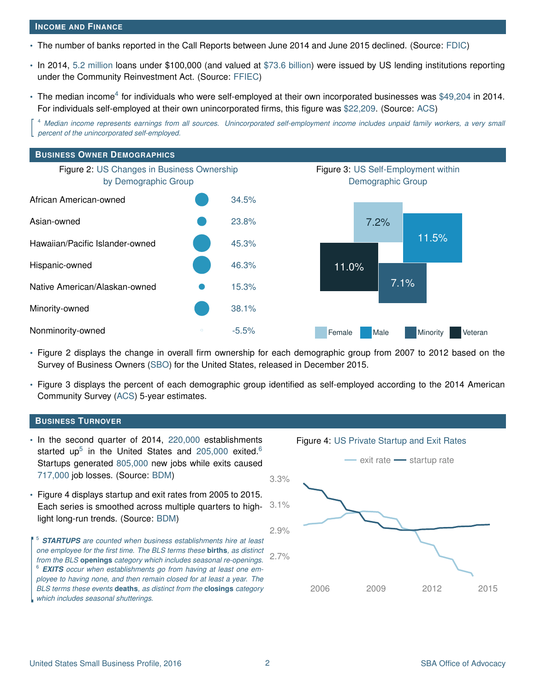#### **INCOME AND FINANCE**

- The number of banks reported in the Call Reports between June 2014 and June 2015 declined. (Source: [FDIC\)](#page-3-9)
- In 2014, [5.2 million](#page-3-10) loans under \$100,000 (and valued at [\\$73.6 billion\)](#page-3-0) were issued by US lending institutions reporting under the Community Reinvestment Act. (Source: [FFIEC\)](#page-3-10)
- The median income<sup>4</sup> for individuals who were self-employed at their own incorporated businesses was [\\$49,204](#page-3-11) in 2014. For individuals self-employed at their own unincorporated firms, this figure was [\\$22,209.](#page-3-11) (Source: [ACS\)](#page-3-11)

 $\overline{\phantom{a}}$ <sup>4</sup> *Median income represents earnings from all sources. Unincorporated self-employment income includes unpaid family workers, a very small percent of the unincorporated self-employed.*



- Figure 2 displays the change in overall firm ownership for each demographic group from 2007 to 2012 based on the Survey of Business Owners [\(SBO\)](#page-3-1) for the United States, released in December 2015.
- Figure 3 displays the percent of each demographic group identified as self-employed according to the 2014 American Community Survey [\(ACS\)](#page-3-11) 5-year estimates.

#### **BUSINESS TURNOVER**

 $\overline{\phantom{a}}$ 

- In the second quarter of 2014, [220,000](#page-3-0) establishments started up<sup>5</sup> in the United States and [205,000](#page-3-0) exited.<sup>6</sup> Startups generated [805,000](#page-3-0) new jobs while exits caused [717,000](#page-3-0) job losses. (Source: [BDM\)](#page-3-12)
- Figure 4 displays startup and exit rates from 2005 to 2015. Each series is smoothed across multiple quarters to highlight long-run trends. (Source: [BDM\)](#page-3-12)

<sup>5</sup> *STARTUPS are counted when business establishments hire at least one employee for the first time. The BLS terms these* **births***, as distinct from the BLS* **openings** *category which includes seasonal re-openings.* <sup>6</sup> *EXITS occur when establishments go from having at least one employee to having none, and then remain closed for at least a year. The BLS terms these events* **deaths***, as distinct from the* **closings** *category which includes seasonal shutterings.*

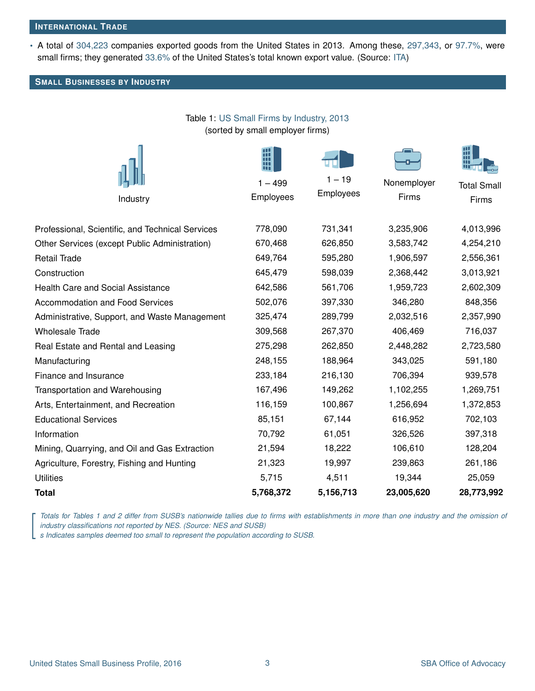#### **INTERNATIONAL TRADE**

• A total of [304,223](#page-3-2) companies exported goods from the United States in 2013. Among these, [297,343,](#page-3-2) or [97.7%,](#page-3-2) were small firms; they generated [33.6%](#page-3-2) of the United States's total known export value. (Source: [ITA\)](#page-3-2)

Table 1: US Small Firms by Industry, 2013

### **SMALL BUSINESSES BY INDUSTRY**

| (sorted by small employer firms)                 |           |           |             |                    |  |
|--------------------------------------------------|-----------|-----------|-------------|--------------------|--|
|                                                  | $1 - 499$ | $1 - 19$  | Nonemployer | <b>Total Small</b> |  |
| Industry                                         | Employees | Employees | Firms       | Firms              |  |
|                                                  |           |           |             |                    |  |
| Professional, Scientific, and Technical Services | 778,090   | 731,341   | 3,235,906   | 4,013,996          |  |
| Other Services (except Public Administration)    | 670,468   | 626,850   | 3,583,742   | 4,254,210          |  |
| Retail Trade                                     | 649,764   | 595,280   | 1,906,597   | 2,556,361          |  |
| Construction                                     | 645,479   | 598,039   | 2,368,442   | 3,013,921          |  |
| <b>Health Care and Social Assistance</b>         | 642,586   | 561,706   | 1,959,723   | 2,602,309          |  |
| <b>Accommodation and Food Services</b>           | 502,076   | 397,330   | 346,280     | 848,356            |  |
| Administrative, Support, and Waste Management    | 325,474   | 289,799   | 2,032,516   | 2,357,990          |  |
| Wholesale Trade                                  | 309,568   | 267,370   | 406,469     | 716,037            |  |
| Real Estate and Rental and Leasing               | 275,298   | 262,850   | 2,448,282   | 2,723,580          |  |
| Manufacturing                                    | 248,155   | 188,964   | 343,025     | 591,180            |  |
| <b>Finance and Insurance</b>                     | 233,184   | 216,130   | 706,394     | 939,578            |  |
| <b>Transportation and Warehousing</b>            | 167,496   | 149,262   | 1,102,255   | 1,269,751          |  |
| Arts, Entertainment, and Recreation              | 116,159   | 100,867   | 1,256,694   | 1,372,853          |  |
| <b>Educational Services</b>                      | 85,151    | 67,144    | 616,952     | 702,103            |  |
| Information                                      | 70,792    | 61,051    | 326,526     | 397,318            |  |
| Mining, Quarrying, and Oil and Gas Extraction    | 21,594    | 18,222    | 106,610     | 128,204            |  |
| Agriculture, Forestry, Fishing and Hunting       | 21,323    | 19,997    | 239,863     | 261,186            |  |
| <b>Utilities</b>                                 | 5,715     | 4,511     | 19,344      | 25,059             |  |
| Total                                            | 5,768,372 | 5,156,713 | 23,005,620  | 28,773,992         |  |

Fotals for Tables T and 2 differ from SUSB's nationwide tailles due to firms with establishing industry classifications not reported by NES. (Source: NES and SUSB)<br>Indicates samples deemed too small to represent the popula *Totals for Tables 1 and 2 differ from SUSB's nationwide tallies due to firms with establishments in more than one industry and the omission of industry classifications not reported by NES. (Source: NES and SUSB)*